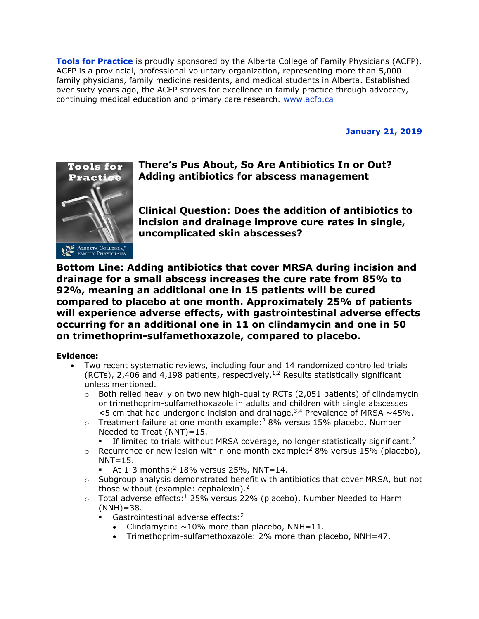**Tools for Practice** is proudly sponsored by the Alberta College of Family Physicians (ACFP). ACFP is a provincial, professional voluntary organization, representing more than 5,000 family physicians, family medicine residents, and medical students in Alberta. Established over sixty years ago, the ACFP strives for excellence in family practice through advocacy, continuing medical education and primary care research. [www.acfp.ca](http://r20.rs6.net/tn.jsp?llr=j5jhyecab&et=1106581339886&s=0&e=0018HsPjNJAVitI8Ray9i14VUEPh8QgRLpopT1hs0e5ZuwGPqGnH9-N6tL_UP5LTij9cP43lHBva_IRi6MMeFppG6SamR3ro1dGo2mwyQcV95k=)

**January 21, 2019**



# **There's Pus About, So Are Antibiotics In or Out? Adding antibiotics for abscess management**

**Clinical Question: Does the addition of antibiotics to incision and drainage improve cure rates in single, uncomplicated skin abscesses?**

**Bottom Line: Adding antibiotics that cover MRSA during incision and drainage for a small abscess increases the cure rate from 85% to 92%, meaning an additional one in 15 patients will be cured compared to placebo at one month. Approximately 25% of patients will experience adverse effects, with gastrointestinal adverse effects occurring for an additional one in 11 on clindamycin and one in 50 on trimethoprim-sulfamethoxazole, compared to placebo.** 

## **Evidence:**

- Two recent systematic reviews, including four and 14 randomized controlled trials (RCTs), 2,406 and 4,198 patients, respectively.<sup>1,2</sup> Results statistically significant unless mentioned.
	- $\circ$  Both relied heavily on two new high-quality RCTs (2,051 patients) of clindamycin or trimethoprim-sulfamethoxazole in adults and children with single abscesses  $<$ 5 cm that had undergone incision and drainage.<sup>3,4</sup> Prevalence of MRSA  $\sim$ 45%.
	- $\circ$  Treatment failure at one month example:<sup>2</sup> 8% versus 15% placebo, Number Needed to Treat (NNT)=15.
		- If limited to trials without MRSA coverage, no longer statistically significant.<sup>2</sup>
	- $\circ$  Recurrence or new lesion within one month example:<sup>2</sup> 8% versus 15% (placebo),  $NNT=15.$ 
		- At  $1-3$  months: $2$  18% versus 25%, NNT=14.
	- $\circ$  Subgroup analysis demonstrated benefit with antibiotics that cover MRSA, but not those without (example: cephalexin).<sup>2</sup>
	- $\circ$  Total adverse effects:<sup>1</sup> 25% versus 22% (placebo), Number Needed to Harm  $(NNH) = 38.$ 
		- **•** Gastrointestinal adverse effects:<sup>2</sup>
			- Clindamycin:  $\sim$ 10% more than placebo, NNH=11.
			- Trimethoprim-sulfamethoxazole: 2% more than placebo, NNH=47.